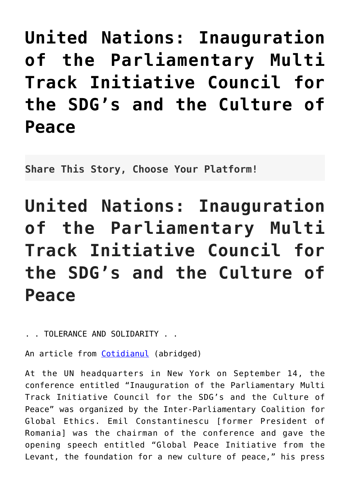**[United Nations: Inauguration](http://noahide.org/united-nations-inauguration-of-the-parliamentary-multi-track-initiative-council-for-the-sdgs-and-the-culture-of-peace/) [of the Parliamentary Multi](http://noahide.org/united-nations-inauguration-of-the-parliamentary-multi-track-initiative-council-for-the-sdgs-and-the-culture-of-peace/) [Track Initiative Council for](http://noahide.org/united-nations-inauguration-of-the-parliamentary-multi-track-initiative-council-for-the-sdgs-and-the-culture-of-peace/) [the SDG's and the Culture of](http://noahide.org/united-nations-inauguration-of-the-parliamentary-multi-track-initiative-council-for-the-sdgs-and-the-culture-of-peace/) [Peace](http://noahide.org/united-nations-inauguration-of-the-parliamentary-multi-track-initiative-council-for-the-sdgs-and-the-culture-of-peace/)**

**Share This Story, Choose Your Platform!**

**United Nations: Inauguration of the Parliamentary Multi Track Initiative Council for the SDG's and the Culture of Peace**

. . TOLERANCE AND SOLIDARITY . .

An article from [Cotidianul](https://www.cotidianul.ro/emil-constantinescu-la-sediul-onu/) (abridged)

At the UN headquarters in New York on September 14, the conference entitled "Inauguration of the Parliamentary Multi Track Initiative Council for the SDG's and the Culture of Peace" was organized by the Inter-Parliamentary Coalition for Global Ethics. Emil Constantinescu [former President of Romania] was the chairman of the conference and gave the opening speech entitled "Global Peace Initiative from the Levant, the foundation for a new culture of peace," his press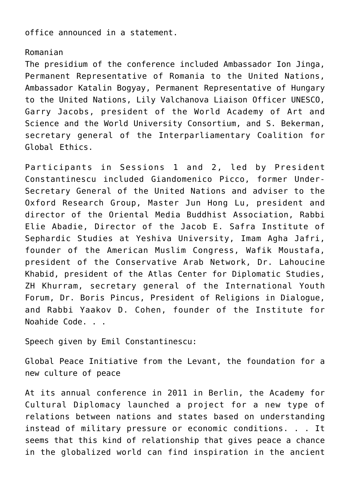office announced in a statement.

## Romanian

The presidium of the conference included Ambassador Ion Jinga, Permanent Representative of Romania to the United Nations, Ambassador Katalin Bogyay, Permanent Representative of Hungary to the United Nations, Lily Valchanova Liaison Officer UNESCO, Garry Jacobs, president of the World Academy of Art and Science and the World University Consortium, and S. Bekerman, secretary general of the Interparliamentary Coalition for Global Ethics.

Participants in Sessions 1 and 2, led by President Constantinescu included Giandomenico Picco, former Under-Secretary General of the United Nations and adviser to the Oxford Research Group, Master Jun Hong Lu, president and director of the Oriental Media Buddhist Association, Rabbi Elie Abadie, Director of the Jacob E. Safra Institute of Sephardic Studies at Yeshiva University, Imam Agha Jafri, founder of the American Muslim Congress, Wafik Moustafa, president of the Conservative Arab Network, Dr. Lahoucine Khabid, president of the Atlas Center for Diplomatic Studies, ZH Khurram, secretary general of the International Youth Forum, Dr. Boris Pincus, President of Religions in Dialogue, and Rabbi Yaakov D. Cohen, founder of the Institute for Noahide Code. . .

Speech given by Emil Constantinescu:

Global Peace Initiative from the Levant, the foundation for a new culture of peace

At its annual conference in 2011 in Berlin, the Academy for Cultural Diplomacy launched a project for a new type of relations between nations and states based on understanding instead of military pressure or economic conditions. . . It seems that this kind of relationship that gives peace a chance in the globalized world can find inspiration in the ancient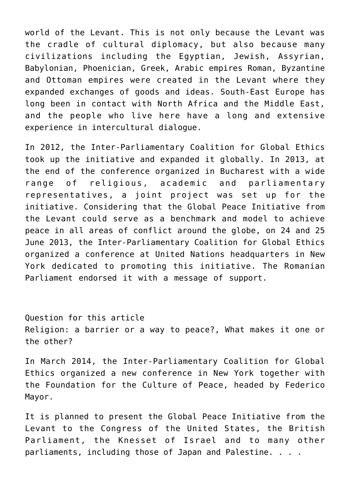world of the Levant. This is not only because the Levant was the cradle of cultural diplomacy, but also because many civilizations including the Egyptian, Jewish, Assyrian, Babylonian, Phoenician, Greek, Arabic empires Roman, Byzantine and Ottoman empires were created in the Levant where they expanded exchanges of goods and ideas. South-East Europe has long been in contact with North Africa and the Middle East, and the people who live here have a long and extensive experience in intercultural dialogue.

In 2012, the Inter-Parliamentary Coalition for Global Ethics took up the initiative and expanded it globally. In 2013, at the end of the conference organized in Bucharest with a wide range of religious, academic and parliamentary representatives, a joint project was set up for the initiative. Considering that the Global Peace Initiative from the Levant could serve as a benchmark and model to achieve peace in all areas of conflict around the globe, on 24 and 25 June 2013, the Inter-Parliamentary Coalition for Global Ethics organized a conference at United Nations headquarters in New York dedicated to promoting this initiative. The Romanian Parliament endorsed it with a message of support.

Question for this article Religion: a barrier or a way to peace?, What makes it one or the other?

In March 2014, the Inter-Parliamentary Coalition for Global Ethics organized a new conference in New York together with the Foundation for the Culture of Peace, headed by Federico Mayor.

It is planned to present the Global Peace Initiative from the Levant to the Congress of the United States, the British Parliament, the Knesset of Israel and to many other parliaments, including those of Japan and Palestine. . . .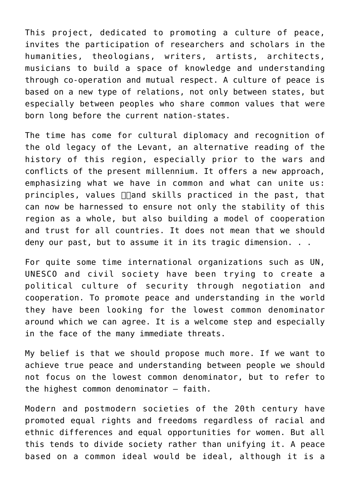This project, dedicated to promoting a culture of peace, invites the participation of researchers and scholars in the humanities, theologians, writers, artists, architects, musicians to build a space of knowledge and understanding through co-operation and mutual respect. A culture of peace is based on a new type of relations, not only between states, but especially between peoples who share common values that were born long before the current nation-states.

The time has come for cultural diplomacy and recognition of the old legacy of the Levant, an alternative reading of the history of this region, especially prior to the wars and conflicts of the present millennium. It offers a new approach, emphasizing what we have in common and what can unite us: principles, values  $\Box$  and skills practiced in the past, that can now be harnessed to ensure not only the stability of this region as a whole, but also building a model of cooperation and trust for all countries. It does not mean that we should deny our past, but to assume it in its tragic dimension. . .

For quite some time international organizations such as UN, UNESCO and civil society have been trying to create a political culture of security through negotiation and cooperation. To promote peace and understanding in the world they have been looking for the lowest common denominator around which we can agree. It is a welcome step and especially in the face of the many immediate threats.

My belief is that we should propose much more. If we want to achieve true peace and understanding between people we should not focus on the lowest common denominator, but to refer to the highest common denominator – faith.

Modern and postmodern societies of the 20th century have promoted equal rights and freedoms regardless of racial and ethnic differences and equal opportunities for women. But all this tends to divide society rather than unifying it. A peace based on a common ideal would be ideal, although it is a